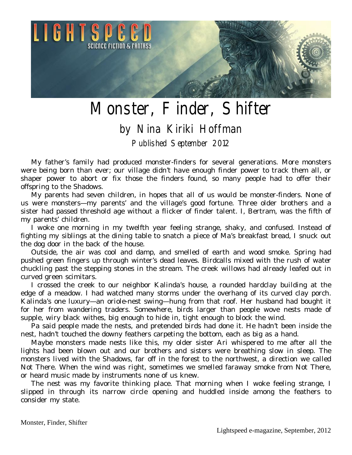

## Monster, Finder, Shifter

## by Nina Kiriki Hoffman

Published September 2012

My father's family had produced monster-finders for several generations. More monsters were being born than ever; our village didn't have enough finder power to track them all, or shaper power to abort or fix those the finders found, so many people had to offer their offspring to the Shadows.

My parents had seven children, in hopes that all of us would be monster-finders. None of us were monsters—my parents' and the village's good fortune. Three older brothers and a sister had passed threshold age without a flicker of finder talent. I, Bertram, was the fifth of my parents' children.

I woke one morning in my twelfth year feeling strange, shaky, and confused. Instead of fighting my siblings at the dining table to snatch a piece of Ma's breakfast bread, I snuck out the dog door in the back of the house.

Outside, the air was cool and damp, and smelled of earth and wood smoke. Spring had pushed green fingers up through winter's dead leaves. Birdcalls mixed with the rush of water chuckling past the stepping stones in the stream. The creek willows had already leafed out in curved green scimitars.

I crossed the creek to our neighbor Kalinda's house, a rounded hardclay building at the edge of a meadow. I had watched many storms under the overhang of its curved clay porch. Kalinda's one luxury—an oriole-nest swing—hung from that roof. Her husband had bought it for her from wandering traders. Somewhere, birds larger than people wove nests made of supple, wiry black withes, big enough to hide in, tight enough to block the wind.

Pa said people made the nests, and pretended birds had done it. He hadn't been inside the nest, hadn't touched the downy feathers carpeting the bottom, each as big as a hand.

Maybe monsters made nests like this, my older sister Ari whispered to me after all the lights had been blown out and our brothers and sisters were breathing slow in sleep. The monsters lived with the Shadows, far off in the forest to the northwest, a direction we called Not There. When the wind was right, sometimes we smelled faraway smoke from Not There, or heard music made by instruments none of us knew.

The nest was my favorite thinking place. That morning when I woke feeling strange, I slipped in through its narrow circle opening and huddled inside among the feathers to consider my state.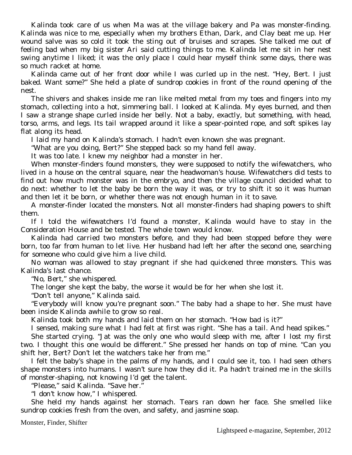Kalinda took care of us when Ma was at the village bakery and Pa was monster-finding. Kalinda was nice to me, especially when my brothers Ethan, Dark, and Clay beat me up. Her wound salve was so cold it took the sting out of bruises and scrapes. She talked me out of feeling bad when my big sister Ari said cutting things to me. Kalinda let me sit in her nest swing anytime I liked; it was the only place I could hear myself think some days, there was so much racket at home.

Kalinda came out of her front door while I was curled up in the nest. "Hey, Bert. I just baked. Want some?" She held a plate of sundrop cookies in front of the round opening of the nest.

The shivers and shakes inside me ran like melted metal from my toes and fingers into my stomach, collecting into a hot, simmering ball. I looked at Kalinda. My eyes burned, and then I saw a strange shape curled inside her belly. Not a baby, exactly, but something, with head, torso, arms, and legs. Its tail wrapped around it like a spear-pointed rope, and soft spikes lay flat along its head.

I laid my hand on Kalinda's stomach. I hadn't even known she was pregnant.

"What are you doing, Bert?" She stepped back so my hand fell away.

It was too late. I knew my neighbor had a monster in her.

When monster-finders found monsters, they were supposed to notify the wifewatchers, who lived in a house on the central square, near the headwoman's house. Wifewatchers did tests to find out how much monster was in the embryo, and then the village council decided what to do next: whether to let the baby be born the way it was, or try to shift it so it was human and then let it be born, or whether there was not enough human in it to save.

A monster-finder located the monsters. Not all monster-finders had shaping powers to shift them.

If I told the wifewatchers I'd found a monster, Kalinda would have to stay in the Consideration House and be tested. The whole town would know.

Kalinda had carried two monsters before, and they had been stopped before they were born, too far from human to let live. Her husband had left her after the second one, searching for someone who could give him a live child.

No woman was allowed to stay pregnant if she had quickened three monsters. This was Kalinda's last chance.

"No, Bert," she whispered.

The longer she kept the baby, the worse it would be for her when she lost it.

"Don't tell anyone," Kalinda said.

"Everybody will know you're pregnant soon." The baby had a shape to her. She must have been inside Kalinda awhile to grow so real.

Kalinda took both my hands and laid them on her stomach. "How bad is it?"

I sensed, making sure what I had felt at first was right. "She has a tail. And head spikes."

She started crying. "Jat was the only one who would sleep with me, after I lost my first two. I thought this one would be different." She pressed her hands on top of mine. "Can you shift her, Bert? Don't let the watchers take her from me."

I felt the baby's shape in the palms of my hands, and I could see it, too. I had seen others shape monsters into humans. I wasn't sure how they did it. Pa hadn't trained me in the skills of monster-shaping, not knowing I'd get the talent.

"Please," said Kalinda. "Save her."

"I don't know how," I whispered.

She held my hands against her stomach. Tears ran down her face. She smelled like sundrop cookies fresh from the oven, and safety, and jasmine soap.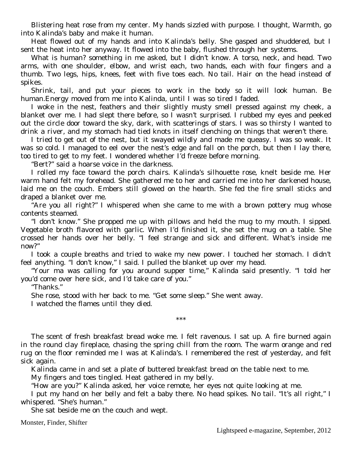Blistering heat rose from my center. My hands sizzled with purpose. I thought, Warmth, go into Kalinda's baby and make it human.

Heat flowed out of my hands and into Kalinda's belly. She gasped and shuddered, but I sent the heat into her anyway. It flowed into the baby, flushed through her systems.

What is human? something in me asked, but I didn't know. A torso, neck, and head. Two arms, with one shoulder, elbow, and wrist each, two hands, each with four fingers and a thumb. Two legs, hips, knees, feet with five toes each. No tail. Hair on the head instead of spikes.

Shrink, tail, and put your pieces to work in the body so it will look human. Be human.Energy moved from me into Kalinda, until I was so tired I faded.

I woke in the nest, feathers and their slightly musty smell pressed against my cheek, a blanket over me. I had slept there before, so I wasn't surprised. I rubbed my eyes and peeked out the circle door toward the sky, dark, with scatterings of stars. I was so thirsty I wanted to drink a river, and my stomach had tied knots in itself clenching on things that weren't there.

I tried to get out of the nest, but it swayed wildly and made me queasy. I was so weak. It was so cold. I managed to eel over the nest's edge and fall on the porch, but then I lay there, too tired to get to my feet. I wondered whether I'd freeze before morning.

"Bert?" said a hoarse voice in the darkness.

I rolled my face toward the porch chairs. Kalinda's silhouette rose, knelt beside me. Her warm hand felt my forehead. She gathered me to her and carried me into her darkened house, laid me on the couch. Embers still glowed on the hearth. She fed the fire small sticks and draped a blanket over me.

"Are you all right?" I whispered when she came to me with a brown pottery mug whose contents steamed.

"I don't know." She propped me up with pillows and held the mug to my mouth. I sipped. Vegetable broth flavored with garlic. When I'd finished it, she set the mug on a table. She crossed her hands over her belly. "I feel strange and sick and different. What's inside me now?"

I took a couple breaths and tried to wake my new power. I touched her stomach. I didn't feel anything. "I don't know," I said. I pulled the blanket up over my head.

"Your ma was calling for you around supper time," Kalinda said presently. "I told her you'd come over here sick, and I'd take care of you."

"Thanks."

She rose, stood with her back to me. "Get some sleep." She went away.

I watched the flames until they died.

The scent of fresh breakfast bread woke me. I felt ravenous. I sat up. A fire burned again in the round clay fireplace, chasing the spring chill from the room. The warm orange and red rug on the floor reminded me I was at Kalinda's. I remembered the rest of yesterday, and felt sick again.

\*\*\*

Kalinda came in and set a plate of buttered breakfast bread on the table next to me.

My fingers and toes tingled. Heat gathered in my belly.

"How are you?" Kalinda asked, her voice remote, her eyes not quite looking at me.

I put my hand on her belly and felt a baby there. No head spikes. No tail. "It's all right," I whispered. "She's human."

She sat beside me on the couch and wept.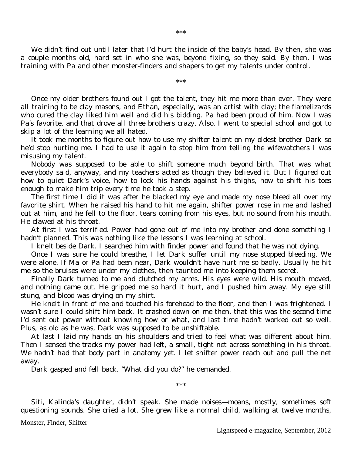We didn't find out until later that I'd hurt the inside of the baby's head. By then, she was a couple months old, hard set in who she was, beyond fixing, so they said. By then, I was training with Pa and other monster-finders and shapers to get my talents under control.

\*\*\*

Once my older brothers found out I got the talent, they hit me more than ever. They were all training to be clay masons, and Ethan, especially, was an artist with clay; the flamelizards who cured the clay liked him well and did his bidding. Pa had been proud of him. Now I was Pa's favorite, and that drove all three brothers crazy. Also, I went to special school and got to skip a lot of the learning we all hated.

It took me months to figure out how to use my shifter talent on my oldest brother Dark so he'd stop hurting me. I had to use it again to stop him from telling the wifewatchers I was misusing my talent.

Nobody was supposed to be able to shift someone much beyond birth. That was what everybody said, anyway, and my teachers acted as though they believed it. But I figured out how to quiet Dark's voice, how to lock his hands against his thighs, how to shift his toes enough to make him trip every time he took a step.

The first time I did it was after he blacked my eye and made my nose bleed all over my favorite shirt. When he raised his hand to hit me again, shifter power rose in me and lashed out at him, and he fell to the floor, tears coming from his eyes, but no sound from his mouth. He clawed at his throat.

At first I was terrified. Power had gone out of me into my brother and done something I hadn't planned. This was nothing like the lessons I was learning at school.

I knelt beside Dark. I searched him with finder power and found that he was not dying.

Once I was sure he could breathe, I let Dark suffer until my nose stopped bleeding. We were alone. If Ma or Pa had been near, Dark wouldn't have hurt me so badly. Usually he hit me so the bruises were under my clothes, then taunted me into keeping them secret.

Finally Dark turned to me and clutched my arms. His eyes were wild. His mouth moved, and nothing came out. He gripped me so hard it hurt, and I pushed him away. My eye still stung, and blood was drying on my shirt.

He knelt in front of me and touched his forehead to the floor, and then I was frightened. I wasn't sure I could shift him back. It crashed down on me then, that this was the second time I'd sent out power without knowing how or what, and last time hadn't worked out so well. Plus, as old as he was, Dark was supposed to be unshiftable.

At last I laid my hands on his shoulders and tried to feel what was different about him. Then I sensed the tracks my power had left, a small, tight net across something in his throat. We hadn't had that body part in anatomy yet. I let shifter power reach out and pull the net away.

Dark gasped and fell back. "What did you do?" he demanded.

Siti, Kalinda's daughter, didn't speak. She made noises—moans, mostly, sometimes soft questioning sounds. She cried a lot. She grew like a normal child, walking at twelve months,

\*\*\*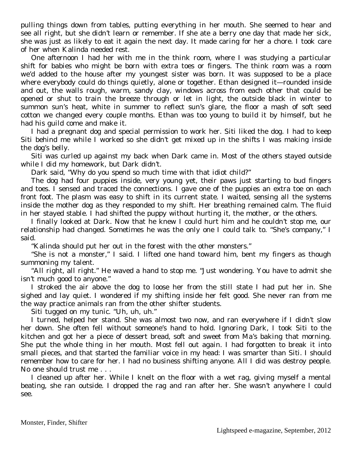pulling things down from tables, putting everything in her mouth. She seemed to hear and see all right, but she didn't learn or remember. If she ate a berry one day that made her sick, she was just as likely to eat it again the next day. It made caring for her a chore. I took care of her when Kalinda needed rest.

One afternoon I had her with me in the think room, where I was studying a particular shift for babies who might be born with extra toes or fingers. The think room was a room we'd added to the house after my youngest sister was born. It was supposed to be a place where everybody could do things quietly, alone or together. Ethan designed it—rounded inside and out, the walls rough, warm, sandy clay, windows across from each other that could be opened or shut to train the breeze through or let in light, the outside black in winter to summon sun's heat, white in summer to reflect sun's glare, the floor a mash of soft seed cotton we changed every couple months. Ethan was too young to build it by himself, but he had his guild come and make it.

I had a pregnant dog and special permission to work her. Siti liked the dog. I had to keep Siti behind me while I worked so she didn't get mixed up in the shifts I was making inside the dog's belly.

Siti was curled up against my back when Dark came in. Most of the others stayed outside while I did my homework, but Dark didn't.

Dark said, "Why do you spend so much time with that idiot child?"

The dog had four puppies inside, very young yet, their paws just starting to bud fingers and toes. I sensed and traced the connections. I gave one of the puppies an extra toe on each front foot. The plasm was easy to shift in its current state. I waited, sensing all the systems inside the mother dog as they responded to my shift. Her breathing remained calm. The fluid in her stayed stable. I had shifted the puppy without hurting it, the mother, or the others.

I finally looked at Dark. Now that he knew I could hurt him and he couldn't stop me, our relationship had changed. Sometimes he was the only one I could talk to. "She's company," I said.

"Kalinda should put her out in the forest with the other monsters."

"She is not a monster," I said. I lifted one hand toward him, bent my fingers as though summoning my talent.

"All right, all right." He waved a hand to stop me. "Just wondering. You have to admit she isn't much good to anyone."

I stroked the air above the dog to loose her from the still state I had put her in. She sighed and lay quiet. I wondered if my shifting inside her felt good. She never ran from me the way practice animals ran from the other shifter students.

Siti tugged on my tunic. "Uh, uh, uh."

I turned, helped her stand. She was almost two now, and ran everywhere if I didn't slow her down. She often fell without someone's hand to hold. Ignoring Dark, I took Siti to the kitchen and got her a piece of dessert bread, soft and sweet from Ma's baking that morning. She put the whole thing in her mouth. Most fell out again. I had forgotten to break it into small pieces, and that started the familiar voice in my head: I was smarter than Siti. I should remember how to care for her. I had no business shifting anyone. All I did was destroy people. No one should trust me . . .

I cleaned up after her. While I knelt on the floor with a wet rag, giving myself a mental beating, she ran outside. I dropped the rag and ran after her. She wasn't anywhere I could see.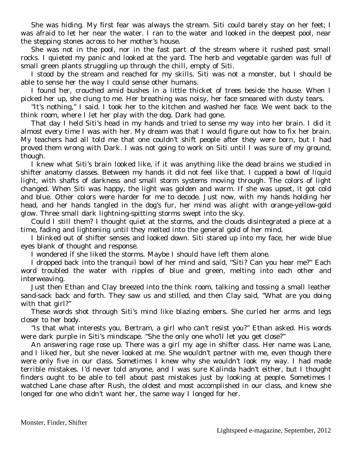She was hiding. My first fear was always the stream. Siti could barely stay on her feet; I was afraid to let her near the water. I ran to the water and looked in the deepest pool, near the stepping stones across to her mother's house.

She was not in the pool, nor in the fast part of the stream where it rushed past small rocks. I quieted my panic and looked at the yard. The herb and vegetable garden was full of small green plants struggling up through the chill, empty of Siti.

I stood by the stream and reached for my skills. Siti was not a monster, but I should be able to sense her the way I could sense other humans.

I found her, crouched amid bushes in a little thicket of trees beside the house. When I picked her up, she clung to me. Her breathing was noisy, her face smeared with dusty tears.

"It's nothing," I said. I took her to the kitchen and washed her face. We went back to the think room, where I let her play with the dog. Dark had gone.

That day I held Siti's head in my hands and tried to sense my way into her brain. I did it almost every time I was with her. My dream was that I would figure out how to fix her brain. My teachers had all told me that one couldn't shift people after they were born, but I had proved them wrong with Dark. I was not going to work on Siti until I was sure of my ground, though.

I knew what Siti's brain looked like, if it was anything like the dead brains we studied in shifter anatomy classes. Between my hands it did not feel like that. I cupped a bowl of liquid light, with shafts of darkness and small storm systems moving through. The colors of light changed. When Siti was happy, the light was golden and warm. If she was upset, it got cold and blue. Other colors were harder for me to decode. Just now, with my hands holding her head, and her hands tangled in the dog's fur, her mind was alight with orange-yellow-gold glow. Three small dark lightning-spitting storms swept into the sky.

Could I still them? I thought quiet at the storms, and the clouds disintegrated a piece at a time, fading and lightening until they melted into the general gold of her mind.

I blinked out of shifter senses and looked down. Siti stared up into my face, her wide blue eyes blank of thought and response.

I wondered if she liked the storms. Maybe I should have left them alone.

I dropped back into the tranquil bowl of her mind and said, "Siti? Can you hear me?" Each word troubled the water with ripples of blue and green, melting into each other and interweaving.

Just then Ethan and Clay breezed into the think room, talking and tossing a small leather sand-sack back and forth. They saw us and stilled, and then Clay said, "What are you doing with that girl?"

These words shot through Siti's mind like blazing embers. She curled her arms and legs closer to her body.

"Is that what interests you, Bertram, a girl who can't resist you?" Ethan asked. His words were dark purple in Siti's mindscape. "She the only one who'll let you get close?"

An answering rage rose up. There was a girl my age in shifter class. Her name was Lane, and I liked her, but she never looked at me. She wouldn't partner with me, even though there were only five in our class. Sometimes I knew why she wouldn't look my way. I had made terrible mistakes. I'd never told anyone, and I was sure Kalinda hadn't either, but I thought finders ought to be able to tell about past mistakes just by looking at people. Sometimes I watched Lane chase after Rush, the oldest and most accomplished in our class, and knew she longed for one who didn't want her, the same way I longed for her.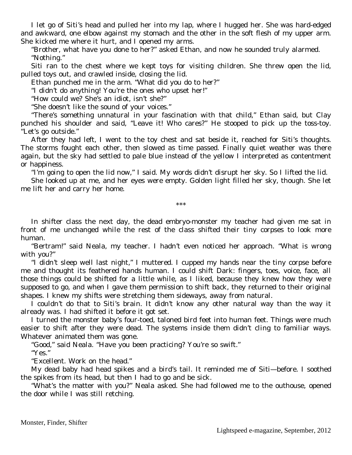I let go of Siti's head and pulled her into my lap, where I hugged her. She was hard-edged and awkward, one elbow against my stomach and the other in the soft flesh of my upper arm. She kicked me where it hurt, and I opened my arms.

"Brother, what have you done to her?" asked Ethan, and now he sounded truly alarmed. "Nothing."

Siti ran to the chest where we kept toys for visiting children. She threw open the lid, pulled toys out, and crawled inside, closing the lid.

Ethan punched me in the arm. "What did you do to her?"

"I didn't do anything! You're the ones who upset her!"

"How could we? She's an idiot, isn't she?"

"She doesn't like the sound of your voices."

"There's something unnatural in your fascination with that child," Ethan said, but Clay punched his shoulder and said, "Leave it! Who cares?" He stooped to pick up the toss-toy. "Let's go outside."

After they had left, I went to the toy chest and sat beside it, reached for Siti's thoughts. The storms fought each other, then slowed as time passed. Finally quiet weather was there again, but the sky had settled to pale blue instead of the yellow I interpreted as contentment or happiness.

"I'm going to open the lid now," I said. My words didn't disrupt her sky. So I lifted the lid.

She looked up at me, and her eyes were empty. Golden light filled her sky, though. She let me lift her and carry her home.

\*\*\*

In shifter class the next day, the dead embryo-monster my teacher had given me sat in front of me unchanged while the rest of the class shifted their tiny corpses to look more human.

"Bertram!" said Neala, my teacher. I hadn't even noticed her approach. "What is wrong with you?"

"I didn't sleep well last night," I muttered. I cupped my hands near the tiny corpse before me and thought its feathered hands human. I could shift Dark: fingers, toes, voice, face, all those things could be shifted for a little while, as I liked, because they knew how they were supposed to go, and when I gave them permission to shift back, they returned to their original shapes. I knew my shifts were stretching them sideways, away from natural.

I couldn't do that to Siti's brain. It didn't know any other natural way than the way it already was. I had shifted it before it got set.

I turned the monster baby's four-toed, taloned bird feet into human feet. Things were much easier to shift after they were dead. The systems inside them didn't cling to familiar ways. Whatever animated them was gone.

"Good," said Neala. "Have you been practicing? You're so swift."

"Yes."

"Excellent. Work on the head."

My dead baby had head spikes and a bird's tail. It reminded me of Siti—before. I soothed the spikes from its head, but then I had to go and be sick.

"What's the matter with you?" Neala asked. She had followed me to the outhouse, opened the door while I was still retching.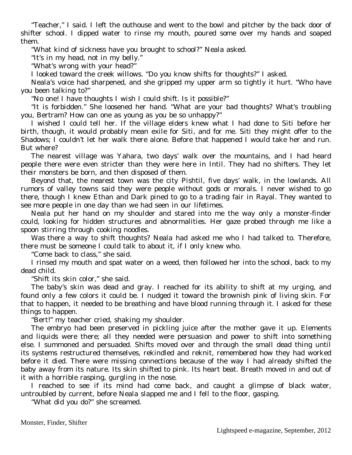"Teacher," I said. I left the outhouse and went to the bowl and pitcher by the back door of shifter school. I dipped water to rinse my mouth, poured some over my hands and soaped them.

"What kind of sickness have you brought to school?" Neala asked.

"It's in my head, not in my belly."

"What's wrong with your head?"

I looked toward the creek willows. "Do you know shifts for thoughts?" I asked.

Neala's voice had sharpened, and she gripped my upper arm so tightly it hurt. "Who have you been talking to?"

"No one! I have thoughts I wish I could shift. Is it possible?"

"It is forbidden." She loosened her hand. "What are your bad thoughts? What's troubling you, Bertram? How can one as young as you be so unhappy?"

I wished I could tell her. If the village elders knew what I had done to Siti before her birth, though, it would probably mean exile for Siti, and for me. Siti they might offer to the Shadows; I couldn't let her walk there alone. Before that happened I would take her and run. But where?

The nearest village was Yahara, two days' walk over the mountains, and I had heard people there were even stricter than they were here in Intil. They had no shifters. They let their monsters be born, and then disposed of them.

Beyond that, the nearest town was the city Pishtil, five days' walk, in the lowlands. All rumors of valley towns said they were people without gods or morals. I never wished to go there, though I knew Ethan and Dark pined to go to a trading fair in Rayal. They wanted to see more people in one day than we had seen in our lifetimes.

Neala put her hand on my shoulder and stared into me the way only a monster-finder could, looking for hidden structures and abnormalities. Her gaze probed through me like a spoon stirring through cooking noodles.

Was there a way to shift thoughts? Neala had asked me who I had talked to. Therefore, there must be someone I could talk to about it, if I only knew who.

"Come back to class," she said.

I rinsed my mouth and spat water on a weed, then followed her into the school, back to my dead child.

"Shift its skin color," she said.

The baby's skin was dead and gray. I reached for its ability to shift at my urging, and found only a few colors it could be. I nudged it toward the brownish pink of living skin. For that to happen, it needed to be breathing and have blood running through it. I asked for these things to happen.

"Bert!" my teacher cried, shaking my shoulder.

The embryo had been preserved in pickling juice after the mother gave it up. Elements and liquids were there; all they needed were persuasion and power to shift into something else. I summoned and persuaded. Shifts moved over and through the small dead thing until its systems restructured themselves, rekindled and reknit, remembered how they had worked before it died. There were missing connections because of the way I had already shifted the baby away from its nature. Its skin shifted to pink. Its heart beat. Breath moved in and out of it with a horrible rasping, gurgling in the nose.

I reached to see if its mind had come back, and caught a glimpse of black water, untroubled by current, before Neala slapped me and I fell to the floor, gasping.

"What did you do?" she screamed.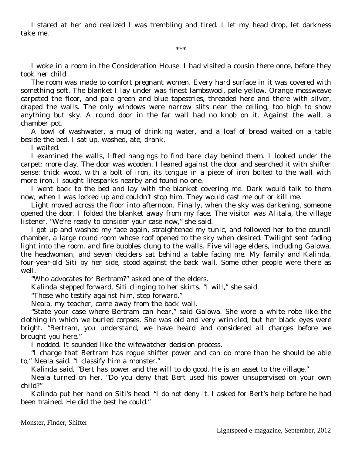I stared at her and realized I was trembling and tired. I let my head drop, let darkness take me.

\*\*\*

I woke in a room in the Consideration House. I had visited a cousin there once, before they took her child.

The room was made to comfort pregnant women. Every hard surface in it was covered with something soft. The blanket I lay under was finest lambswool, pale yellow. Orange mossweave carpeted the floor, and pale green and blue tapestries, threaded here and there with silver, draped the walls. The only windows were narrow slits near the ceiling, too high to show anything but sky. A round door in the far wall had no knob on it. Against the wall, a chamber pot.

A bowl of washwater, a mug of drinking water, and a loaf of bread waited on a table beside the bed. I sat up, washed, ate, drank.

I waited.

I examined the walls, lifted hangings to find bare clay behind them. I looked under the carpet: more clay. The door was wooden. I leaned against the door and searched it with shifter sense: thick wood, with a bolt of iron, its tongue in a piece of iron bolted to the wall with more iron. I sought lifesparks nearby and found no one.

I went back to the bed and lay with the blanket covering me. Dark would talk to them now, when I was locked up and couldn't stop him. They would cast me out or kill me.

Light moved across the floor into afternoon. Finally, when the sky was darkening, someone opened the door. I folded the blanket away from my face. The visitor was Alitala, the village listener. "We're ready to consider your case now," she said.

I got up and washed my face again, straightened my tunic, and followed her to the council chamber, a large round room whose roof opened to the sky when desired. Twilight sent fading light into the room, and fire bubbles clung to the walls. Five village elders, including Galowa, the headwoman, and seven deciders sat behind a table facing me. My family and Kalinda, four-year-old Siti by her side, stood against the back wall. Some other people were there as well.

"Who advocates for Bertram?" asked one of the elders.

Kalinda stepped forward, Siti clinging to her skirts. "I will," she said.

"Those who testify against him, step forward."

Neala, my teacher, came away from the back wall.

"State your case where Bertram can hear," said Galowa. She wore a white robe like the clothing in which we buried corpses. She was old and very wrinkled, but her black eyes were bright. "Bertram, you understand, we have heard and considered all charges before we brought you here."

I nodded. It sounded like the wifewatcher decision process.

"I charge that Bertram has rogue shifter power and can do more than he should be able to," Neala said. "I classify him a monster."

Kalinda said, "Bert has power and the will to do good. He is an asset to the village."

Neala turned on her. "Do you deny that Bert used his power unsupervised on your own child?"

Kalinda put her hand on Siti's head. "I do not deny it. I asked for Bert's help before he had been trained. He did the best he could."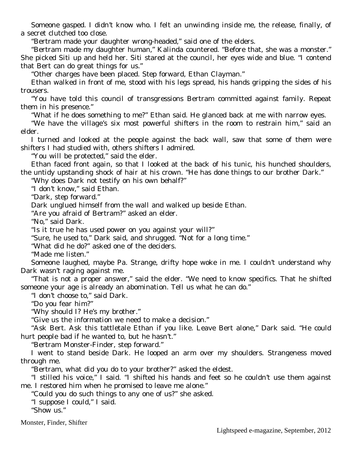Someone gasped. I didn't know who. I felt an unwinding inside me, the release, finally, of a secret clutched too close.

"Bertram made your daughter wrong-headed," said one of the elders.

"Bertram made my daughter human," Kalinda countered. "Before that, she was a monster." She picked Siti up and held her. Siti stared at the council, her eyes wide and blue. "I contend that Bert can do great things for us."

"Other charges have been placed. Step forward, Ethan Clayman."

Ethan walked in front of me, stood with his legs spread, his hands gripping the sides of his trousers.

"You have told this council of transgressions Bertram committed against family. Repeat them in his presence."

"What if he does something to me?" Ethan said. He glanced back at me with narrow eyes.

"We have the village's six most powerful shifters in the room to restrain him," said an elder.

I turned and looked at the people against the back wall, saw that some of them were shifters I had studied with, others shifters I admired.

"You will be protected," said the elder.

Ethan faced front again, so that I looked at the back of his tunic, his hunched shoulders, the untidy upstanding shock of hair at his crown. "He has done things to our brother Dark."

"Why does Dark not testify on his own behalf?"

"I don't know," said Ethan.

"Dark, step forward."

Dark unglued himself from the wall and walked up beside Ethan.

"Are you afraid of Bertram?" asked an elder.

"No," said Dark.

"Is it true he has used power on you against your will?"

"Sure, he used to," Dark said, and shrugged. "Not for a long time."

"What did he do?" asked one of the deciders.

"Made me listen."

Someone laughed, maybe Pa. Strange, drifty hope woke in me. I couldn't understand why Dark wasn't raging against me.

"That is not a proper answer," said the elder. "We need to know specifics. That he shifted someone your age is already an abomination. Tell us what he can do."

"I don't choose to," said Dark.

"Do you fear him?"

"Why should I? He's my brother."

"Give us the information we need to make a decision."

"Ask Bert. Ask this tattletale Ethan if you like. Leave Bert alone," Dark said. "He could hurt people bad if he wanted to, but he hasn't."

"Bertram Monster-Finder, step forward."

I went to stand beside Dark. He looped an arm over my shoulders. Strangeness moved through me.

"Bertram, what did you do to your brother?" asked the eldest.

"I stilled his voice," I said. "I shifted his hands and feet so he couldn't use them against me. I restored him when he promised to leave me alone."

"Could you do such things to any one of us?" she asked.

"I suppose I could," I said.

"Show us."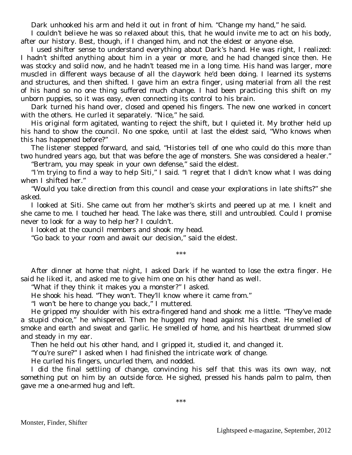Dark unhooked his arm and held it out in front of him. "Change my hand," he said.

I couldn't believe he was so relaxed about this, that he would invite me to act on his body, after our history. Best, though, if I changed him, and not the eldest or anyone else.

I used shifter sense to understand everything about Dark's hand. He was right, I realized: I hadn't shifted anything about him in a year or more, and he had changed since then. He was stocky and solid now, and he hadn't teased me in a long time. His hand was larger, more muscled in different ways because of all the claywork he'd been doing. I learned its systems and structures, and then shifted. I gave him an extra finger, using material from all the rest of his hand so no one thing suffered much change. I had been practicing this shift on my unborn puppies, so it was easy, even connecting its control to his brain.

Dark turned his hand over, closed and opened his fingers. The new one worked in concert with the others. He curled it separately. "Nice," he said.

His original form agitated, wanting to reject the shift, but I quieted it. My brother held up his hand to show the council. No one spoke, until at last the eldest said, "Who knows when this has happened before?"

The listener stepped forward, and said, "Histories tell of one who could do this more than two hundred years ago, but that was before the age of monsters. She was considered a healer."

"Bertram, you may speak in your own defense," said the eldest.

"I'm trying to find a way to help Siti," I said. "I regret that I didn't know what I was doing when I shifted her."

"Would you take direction from this council and cease your explorations in late shifts?" she asked.

I looked at Siti. She came out from her mother's skirts and peered up at me. I knelt and she came to me. I touched her head. The lake was there, still and untroubled. Could I promise never to look for a way to help her? I couldn't.

I looked at the council members and shook my head.

"Go back to your room and await our decision," said the eldest.

\*\*\*

After dinner at home that night, I asked Dark if he wanted to lose the extra finger. He said he liked it, and asked me to give him one on his other hand as well.

"What if they think it makes you a monster?" I asked.

He shook his head. "They won't. They'll know where it came from."

"I won't be here to change you back," I muttered.

He gripped my shoulder with his extra-fingered hand and shook me a little. "They've made a stupid choice," he whispered. Then he hugged my head against his chest. He smelled of smoke and earth and sweat and garlic. He smelled of home, and his heartbeat drummed slow and steady in my ear.

Then he held out his other hand, and I gripped it, studied it, and changed it.

"You're sure?" I asked when I had finished the intricate work of change.

He curled his fingers, uncurled them, and nodded.

I did the final settling of change, convincing his self that this was its own way, not something put on him by an outside force. He sighed, pressed his hands palm to palm, then gave me a one-armed hug and left.

\*\*\*